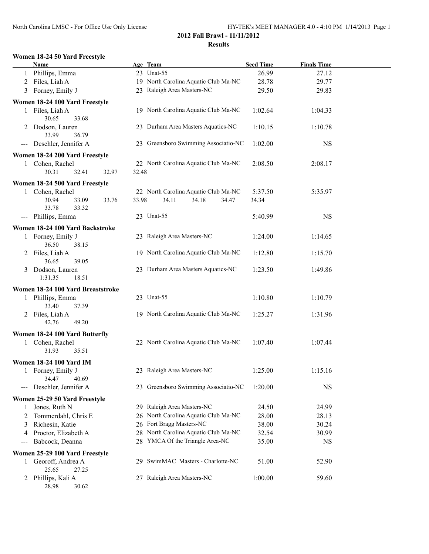#### **Women 18-24 50 Yard Freestyle**

|              | <u>Name</u>                                       |       | Age Team                             | <b>Seed Time</b> | <b>Finals Time</b> |  |
|--------------|---------------------------------------------------|-------|--------------------------------------|------------------|--------------------|--|
|              | 1 Phillips, Emma                                  |       | 23 Unat-55                           | 26.99            | 27.12              |  |
|              | 2 Files, Liah A                                   |       | 19 North Carolina Aquatic Club Ma-NC | 28.78            | 29.77              |  |
|              | 3 Forney, Emily J                                 |       | 23 Raleigh Area Masters-NC           | 29.50            | 29.83              |  |
|              | Women 18-24 100 Yard Freestyle                    |       |                                      |                  |                    |  |
|              | 1 Files, Liah A                                   |       | 19 North Carolina Aquatic Club Ma-NC | 1:02.64          | 1:04.33            |  |
|              | 30.65<br>33.68                                    |       |                                      |                  |                    |  |
|              | 2 Dodson, Lauren                                  |       | 23 Durham Area Masters Aquatics-NC   | 1:10.15          | 1:10.78            |  |
|              | 33.99<br>36.79                                    |       |                                      |                  |                    |  |
|              | --- Deschler, Jennifer A                          |       | 23 Greensboro Swimming Associatio-NC | 1:02.00          | <b>NS</b>          |  |
|              |                                                   |       |                                      |                  |                    |  |
|              | Women 18-24 200 Yard Freestyle<br>1 Cohen, Rachel |       | 22 North Carolina Aquatic Club Ma-NC | 2:08.50          | 2:08.17            |  |
|              | 30.31<br>32.41<br>32.97                           | 32.48 |                                      |                  |                    |  |
|              |                                                   |       |                                      |                  |                    |  |
|              | Women 18-24 500 Yard Freestyle                    |       |                                      |                  |                    |  |
|              | 1 Cohen, Rachel                                   |       | 22 North Carolina Aquatic Club Ma-NC | 5:37.50          | 5:35.97            |  |
|              | 30.94<br>33.09<br>33.76                           | 33.98 | 34.11<br>34.18<br>34.47              | 34.34            |                    |  |
|              | 33.78<br>33.32                                    |       |                                      |                  |                    |  |
|              | --- Phillips, Emma                                |       | 23 Unat-55                           | 5:40.99          | $_{\rm NS}$        |  |
|              | Women 18-24 100 Yard Backstroke                   |       |                                      |                  |                    |  |
|              | 1 Forney, Emily J                                 |       | 23 Raleigh Area Masters-NC           | 1:24.00          | 1:14.65            |  |
|              | 36.50<br>38.15                                    |       |                                      |                  |                    |  |
|              | 2 Files, Liah A                                   |       | 19 North Carolina Aquatic Club Ma-NC | 1:12.80          | 1:15.70            |  |
|              | 36.65<br>39.05                                    |       |                                      |                  |                    |  |
|              | 3 Dodson, Lauren                                  |       | 23 Durham Area Masters Aquatics-NC   | 1:23.50          | 1:49.86            |  |
|              | 1:31.35<br>18.51                                  |       |                                      |                  |                    |  |
|              | Women 18-24 100 Yard Breaststroke                 |       |                                      |                  |                    |  |
|              | 1 Phillips, Emma                                  |       | 23 Unat-55                           | 1:10.80          | 1:10.79            |  |
|              | 33.40<br>37.39                                    |       |                                      |                  |                    |  |
|              | 2 Files, Liah A                                   |       | 19 North Carolina Aquatic Club Ma-NC | 1:25.27          | 1:31.96            |  |
|              | 42.76<br>49.20                                    |       |                                      |                  |                    |  |
|              | Women 18-24 100 Yard Butterfly                    |       |                                      |                  |                    |  |
| $\mathbf{1}$ | Cohen, Rachel                                     |       | 22 North Carolina Aquatic Club Ma-NC | 1:07.40          | 1:07.44            |  |
|              | 31.93<br>35.51                                    |       |                                      |                  |                    |  |
|              | <b>Women 18-24 100 Yard IM</b>                    |       |                                      |                  |                    |  |
|              | 1 Forney, Emily J                                 |       | 23 Raleigh Area Masters-NC           | 1:25.00          | 1:15.16            |  |
|              | 34.47<br>40.69                                    |       |                                      |                  |                    |  |
| $---$        | Deschler, Jennifer A                              |       | 23 Greensboro Swimming Associatio-NC | 1:20.00          | <b>NS</b>          |  |
|              | Women 25-29 50 Yard Freestyle                     |       |                                      |                  |                    |  |
| 1            | Jones, Ruth N                                     |       | 29 Raleigh Area Masters-NC           | 24.50            | 24.99              |  |
| 2            | Tommerdahl, Chris E                               |       | 26 North Carolina Aquatic Club Ma-NC | 28.00            | 28.13              |  |
| 3            | Richesin, Katie                                   |       | 26 Fort Bragg Masters-NC             | 38.00            | 30.24              |  |
| 4            | Proctor, Elizabeth A                              |       | 28 North Carolina Aquatic Club Ma-NC | 32.54            | 30.99              |  |
| ---          | Babcock, Deanna                                   |       | 28 YMCA Of the Triangle Area-NC      | 35.00            | NS                 |  |
|              | Women 25-29 100 Yard Freestyle                    |       |                                      |                  |                    |  |
| 1            | Georoff, Andrea A                                 | 29    | SwimMAC Masters - Charlotte-NC       | 51.00            | 52.90              |  |
|              | 25.65<br>27.25                                    |       |                                      |                  |                    |  |
| 2            | Phillips, Kali A                                  |       | 27 Raleigh Area Masters-NC           | 1:00.00          | 59.60              |  |
|              | 28.98<br>30.62                                    |       |                                      |                  |                    |  |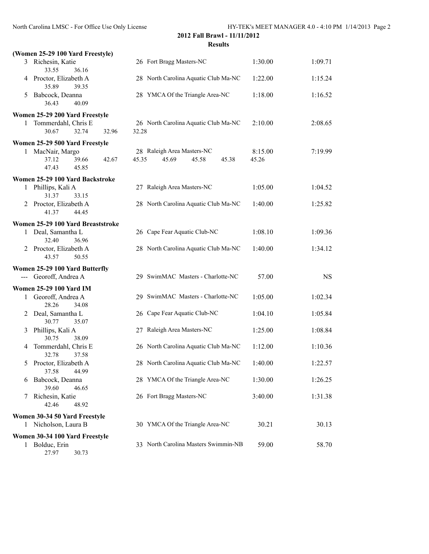|   | (Women 25-29 100 Yard Freestyle)                     |       |                                                                |                  |           |
|---|------------------------------------------------------|-------|----------------------------------------------------------------|------------------|-----------|
|   | 3 Richesin, Katie<br>33.55<br>36.16                  |       | 26 Fort Bragg Masters-NC                                       | 1:30.00          | 1:09.71   |
|   | 4 Proctor, Elizabeth A<br>35.89<br>39.35             |       | 28 North Carolina Aquatic Club Ma-NC                           | 1:22.00          | 1:15.24   |
| 5 | Babcock, Deanna<br>36.43<br>40.09                    |       | 28 YMCA Of the Triangle Area-NC                                | 1:18.00          | 1:16.52   |
|   | Women 25-29 200 Yard Freestyle                       |       |                                                                |                  |           |
| 1 | Tommerdahl, Chris E<br>30.67<br>32.74                | 32.96 | 26 North Carolina Aquatic Club Ma-NC<br>32.28                  | 2:10.00          | 2:08.65   |
|   | Women 25-29 500 Yard Freestyle                       |       |                                                                |                  |           |
|   | 1 MacNair, Margo<br>37.12<br>39.66<br>47.43<br>45.85 | 42.67 | 28 Raleigh Area Masters-NC<br>45.35<br>45.69<br>45.58<br>45.38 | 8:15.00<br>45.26 | 7:19.99   |
|   | Women 25-29 100 Yard Backstroke                      |       |                                                                |                  |           |
| 1 | Phillips, Kali A<br>31.37<br>33.15                   |       | 27 Raleigh Area Masters-NC                                     | 1:05.00          | 1:04.52   |
| 2 | Proctor, Elizabeth A<br>41.37<br>44.45               |       | 28 North Carolina Aquatic Club Ma-NC                           | 1:40.00          | 1:25.82   |
|   | Women 25-29 100 Yard Breaststroke                    |       |                                                                |                  |           |
|   | 1 Deal, Samantha L<br>32.40<br>36.96                 |       | 26 Cape Fear Aquatic Club-NC                                   | 1:08.10          | 1:09.36   |
|   | 2 Proctor, Elizabeth A<br>43.57<br>50.55             |       | 28 North Carolina Aquatic Club Ma-NC                           | 1:40.00          | 1:34.12   |
|   | Women 25-29 100 Yard Butterfly                       |       |                                                                |                  |           |
|   | --- Georoff, Andrea A                                |       | 29 SwimMAC Masters - Charlotte-NC                              | 57.00            | <b>NS</b> |
|   | <b>Women 25-29 100 Yard IM</b>                       |       |                                                                |                  |           |
| 1 | Georoff, Andrea A<br>28.26<br>34.08                  |       | 29 SwimMAC Masters - Charlotte-NC                              | 1:05.00          | 1:02.34   |
| 2 | Deal, Samantha L<br>30.77<br>35.07                   |       | 26 Cape Fear Aquatic Club-NC                                   | 1:04.10          | 1:05.84   |
| 3 | Phillips, Kali A<br>30.75<br>38.09                   |       | 27 Raleigh Area Masters-NC                                     | 1:25.00          | 1:08.84   |
| 4 | Tommerdahl, Chris E<br>32.78<br>37.58                |       | 26 North Carolina Aquatic Club Ma-NC                           | 1:12.00          | 1:10.36   |
| 5 | Proctor, Elizabeth A<br>37.58<br>44.99               |       | 28 North Carolina Aquatic Club Ma-NC                           | 1:40.00          | 1:22.57   |
| 6 | Babcock, Deanna<br>39.60<br>46.65                    |       | 28 YMCA Of the Triangle Area-NC                                | 1:30.00          | 1:26.25   |
| 7 | Richesin, Katie<br>42.46<br>48.92                    |       | 26 Fort Bragg Masters-NC                                       | 3:40.00          | 1:31.38   |
|   | Women 30-34 50 Yard Freestyle                        |       |                                                                |                  |           |
| 1 | Nicholson, Laura B                                   |       | 30 YMCA Of the Triangle Area-NC                                | 30.21            | 30.13     |
|   | Women 30-34 100 Yard Freestyle                       |       |                                                                |                  |           |
| 1 | Bolduc, Erin<br>30.73<br>27.97                       |       | 33 North Carolina Masters Swimmin-NB                           | 59.00            | 58.70     |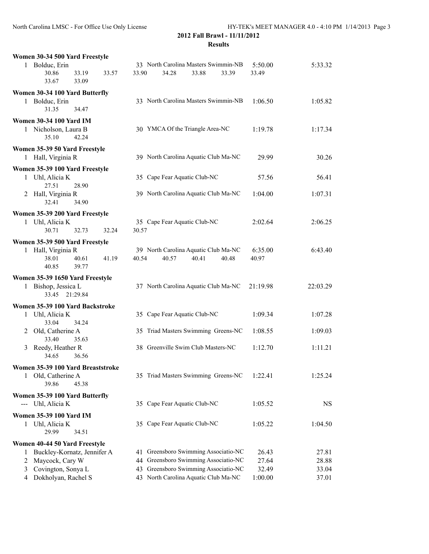| Women 30-34 500 Yard Freestyle            |                                                  |                |
|-------------------------------------------|--------------------------------------------------|----------------|
| 1 Bolduc, Erin                            | 33 North Carolina Masters Swimmin-NB<br>5:50.00  | 5:33.32        |
| 30.86<br>33.19<br>33.57<br>33.67<br>33.09 | 34.28<br>33.90<br>33.88<br>33.39<br>33.49        |                |
| Women 30-34 100 Yard Butterfly            |                                                  |                |
| Bolduc, Erin<br>1.                        | 33 North Carolina Masters Swimmin-NB<br>1:06.50  | 1:05.82        |
| 31.35<br>34.47                            |                                                  |                |
| <b>Women 30-34 100 Yard IM</b>            |                                                  |                |
| 1 Nicholson, Laura B                      | 30 YMCA Of the Triangle Area-NC<br>1:19.78       | 1:17.34        |
| 35.10<br>42.24                            |                                                  |                |
| Women 35-39 50 Yard Freestyle             |                                                  |                |
| 1 Hall, Virginia R                        | 39 North Carolina Aquatic Club Ma-NC             | 29.99<br>30.26 |
| Women 35-39 100 Yard Freestyle            |                                                  |                |
| 1 Uhl, Alicia K                           | 35 Cape Fear Aquatic Club-NC                     | 57.56<br>56.41 |
| 27.51<br>28.90                            |                                                  |                |
| Hall, Virginia R<br>2                     | 39 North Carolina Aquatic Club Ma-NC<br>1:04.00  | 1:07.31        |
| 34.90<br>32.41                            |                                                  |                |
| Women 35-39 200 Yard Freestyle            |                                                  |                |
| 1 Uhl, Alicia K                           | 35 Cape Fear Aquatic Club-NC<br>2:02.64          | 2:06.25        |
| 30.71<br>32.73<br>32.24                   | 30.57                                            |                |
| Women 35-39 500 Yard Freestyle            |                                                  |                |
| 1 Hall, Virginia R                        | 39 North Carolina Aquatic Club Ma-NC<br>6:35.00  | 6:43.40        |
| 38.01<br>40.61<br>41.19                   | 40.54<br>40.57<br>40.41<br>40.48<br>40.97        |                |
| 39.77<br>40.85                            |                                                  |                |
| Women 35-39 1650 Yard Freestyle           |                                                  |                |
| 1 Bishop, Jessica L                       | 37 North Carolina Aquatic Club Ma-NC<br>21:19.98 | 22:03.29       |
| 33.45<br>21:29.84                         |                                                  |                |
| Women 35-39 100 Yard Backstroke           |                                                  |                |
| 1 Uhl, Alicia K                           | 35 Cape Fear Aquatic Club-NC<br>1:09.34          | 1:07.28        |
| 33.04<br>34.24                            |                                                  |                |
| Old, Catherine A<br>2                     | 35 Triad Masters Swimming Greens-NC<br>1:08.55   | 1:09.03        |
| 33.40<br>35.63                            | 1:12.70                                          |                |
| Reedy, Heather R<br>3<br>34.65<br>36.56   | 38 Greenville Swim Club Masters-NC               | 1:11.21        |
|                                           |                                                  |                |
| Women 35-39 100 Yard Breaststroke         |                                                  |                |
| 1 Old, Catherine A<br>39.86<br>45.38      | 35 Triad Masters Swimming Greens-NC<br>1:22.41   | 1:25.24        |
|                                           |                                                  |                |
| Women 35-39 100 Yard Butterfly            |                                                  |                |
| --- Uhl, Alicia K                         | 35 Cape Fear Aquatic Club-NC<br>1:05.52          | <b>NS</b>      |
| <b>Women 35-39 100 Yard IM</b>            |                                                  |                |
| Uhl, Alicia K<br>1                        | 35 Cape Fear Aquatic Club-NC<br>1:05.22          | 1:04.50        |
| 29.99<br>34.51                            |                                                  |                |
| Women 40-44 50 Yard Freestyle             |                                                  |                |
| Buckley-Kornatz, Jennifer A<br>1          | 41 Greensboro Swimming Associatio-NC             | 26.43<br>27.81 |
| Maycock, Cary W<br>2                      | 44 Greensboro Swimming Associatio-NC             | 27.64<br>28.88 |
| Covington, Sonya L<br>3                   | 43 Greensboro Swimming Associatio-NC             | 32.49<br>33.04 |
| Dokholyan, Rachel S<br>4                  | 43 North Carolina Aquatic Club Ma-NC<br>1:00.00  | 37.01          |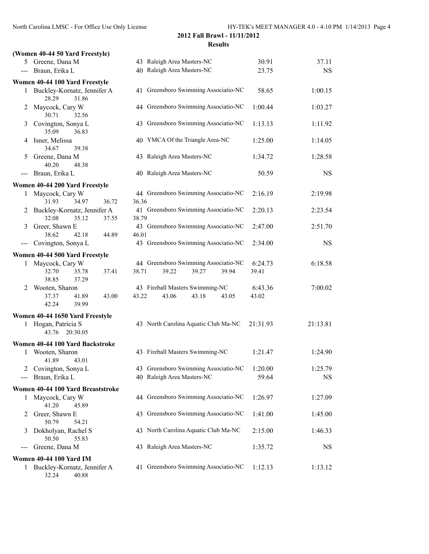|                     | (Women 40-44 50 Yard Freestyle)                          |                                               |          |           |
|---------------------|----------------------------------------------------------|-----------------------------------------------|----------|-----------|
|                     | 5 Greene, Dana M                                         | 43 Raleigh Area Masters-NC                    | 30.91    | 37.11     |
| $\qquad \qquad - -$ | Braun, Erika L                                           | 40 Raleigh Area Masters-NC                    | 23.75    | <b>NS</b> |
|                     | Women 40-44 100 Yard Freestyle                           |                                               |          |           |
|                     | 1 Buckley-Kornatz, Jennifer A<br>31.86<br>28.29          | 41 Greensboro Swimming Associatio-NC          | 58.65    | 1:00.15   |
| 2                   | Maycock, Cary W<br>30.71<br>32.56                        | 44 Greensboro Swimming Associatio-NC          | 1:00.44  | 1:03.27   |
| 3                   | Covington, Sonya L<br>35.09<br>36.83                     | 43 Greensboro Swimming Associatio-NC          | 1:13.13  | 1:11.92   |
| 4                   | Isner, Melissa<br>34.67<br>39.38                         | 40 YMCA Of the Triangle Area-NC               | 1:25.00  | 1:14.05   |
| 5                   | Greene, Dana M<br>40.20<br>48.38                         | 43 Raleigh Area Masters-NC                    | 1:34.72  | 1:28.58   |
| $---$               | Braun, Erika L                                           | 40 Raleigh Area Masters-NC                    | 50.59    | <b>NS</b> |
|                     | Women 40-44 200 Yard Freestyle                           |                                               |          |           |
| 1                   | Maycock, Cary W                                          | 44 Greensboro Swimming Associatio-NC          | 2:16.19  | 2:19.98   |
|                     | 31.93<br>34.97<br>36.72                                  | 36.36                                         |          |           |
|                     | 2 Buckley-Kornatz, Jennifer A<br>32.08<br>35.12<br>37.55 | 41 Greensboro Swimming Associatio-NC<br>38.79 | 2:20.13  | 2:23.54   |
| 3                   | Greer, Shawn E                                           | 43 Greensboro Swimming Associatio-NC          | 2:47.00  | 2:51.70   |
|                     | 38.62<br>42.18<br>44.89                                  | 46.01                                         |          |           |
|                     | Covington, Sonya L                                       | 43 Greensboro Swimming Associatio-NC          | 2:34.00  | <b>NS</b> |
|                     | Women 40-44 500 Yard Freestyle                           |                                               |          |           |
| 1                   | Maycock, Cary W                                          | 44 Greensboro Swimming Associatio-NC          | 6:24.73  | 6:18.58   |
|                     | 32.70<br>35.78<br>37.41<br>38.85<br>37.29                | 39.22<br>39.27<br>39.94<br>38.71              | 39.41    |           |
| 2                   | Wooten, Sharon                                           | 43 Fireball Masters Swimming-NC               | 6:43.36  | 7:00.02   |
|                     | 37.37<br>41.89<br>43.00<br>42.24<br>39.99                | 43.22<br>43.06<br>43.18<br>43.05              | 43.02    |           |
|                     | Women 40-44 1650 Yard Freestyle                          |                                               |          |           |
|                     | 1 Hogan, Patricia S<br>43.76<br>20:30.05                 | 43 North Carolina Aquatic Club Ma-NC          | 21:31.93 | 21:13.81  |
|                     | Women 40-44 100 Yard Backstroke                          |                                               |          |           |
| 1                   | Wooten, Sharon<br>41.89<br>43.01                         | 43 Fireball Masters Swimming-NC               | 1:21.47  | 1:24.90   |
| 2                   | Covington, Sonya L                                       | 43 Greensboro Swimming Associatio-NC          | 1:20.00  | 1:25.79   |
|                     | Braun, Erika L                                           | 40 Raleigh Area Masters-NC                    | 59.64    | <b>NS</b> |
|                     | Women 40-44 100 Yard Breaststroke                        |                                               |          |           |
| 1                   | Maycock, Cary W<br>41.20<br>45.89                        | 44 Greensboro Swimming Associatio-NC          | 1:26.97  | 1:27.09   |
| 2                   | Greer, Shawn E<br>50.79<br>54.21                         | 43 Greensboro Swimming Associatio-NC          | 1:41.00  | 1:45.00   |
| 3                   | Dokholyan, Rachel S<br>50.50<br>55.83                    | 43 North Carolina Aquatic Club Ma-NC          | 2:15.00  | 1:46.33   |
|                     | Greene, Dana M                                           | 43 Raleigh Area Masters-NC                    | 1:35.72  | <b>NS</b> |
|                     | <b>Women 40-44 100 Yard IM</b>                           |                                               |          |           |
| 1                   | Buckley-Kornatz, Jennifer A<br>32.24<br>40.88            | 41 Greensboro Swimming Associatio-NC          | 1:12.13  | 1:13.12   |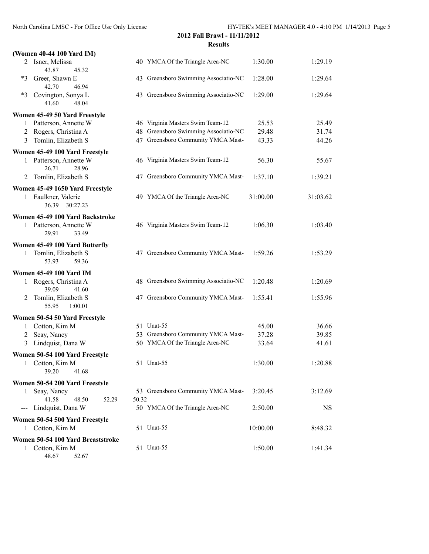| (Women 40-44 100 Yard IM)                            |                                          |                                      |          |           |
|------------------------------------------------------|------------------------------------------|--------------------------------------|----------|-----------|
| 2 Isner, Melissa<br>43.87<br>45.32                   | 40 YMCA Of the Triangle Area-NC          |                                      | 1:30.00  | 1:29.19   |
| Greer, Shawn E<br>$*3$<br>42.70<br>46.94             |                                          | 43 Greensboro Swimming Associatio-NC | 1:28.00  | 1:29.64   |
| $*3$<br>Covington, Sonya L<br>41.60<br>48.04         |                                          | 43 Greensboro Swimming Associatio-NC | 1:29.00  | 1:29.64   |
| Women 45-49 50 Yard Freestyle                        |                                          |                                      |          |           |
| 1 Patterson, Annette W                               | 46 Virginia Masters Swim Team-12         |                                      | 25.53    | 25.49     |
| 2 Rogers, Christina A                                |                                          | 48 Greensboro Swimming Associatio-NC | 29.48    | 31.74     |
| Tomlin, Elizabeth S<br>3                             |                                          | 47 Greensboro Community YMCA Mast-   | 43.33    | 44.26     |
| Women 45-49 100 Yard Freestyle                       |                                          |                                      |          |           |
| 1 Patterson, Annette W<br>26.71<br>28.96             | 46 Virginia Masters Swim Team-12         |                                      | 56.30    | 55.67     |
| Tomlin, Elizabeth S<br>2                             |                                          | 47 Greensboro Community YMCA Mast-   | 1:37.10  | 1:39.21   |
| Women 45-49 1650 Yard Freestyle                      |                                          |                                      |          |           |
| 1 Faulkner, Valerie<br>36.39<br>30:27.23             | 49 YMCA Of the Triangle Area-NC          |                                      | 31:00.00 | 31:03.62  |
| Women 45-49 100 Yard Backstroke                      |                                          |                                      |          |           |
| 1 Patterson, Annette W<br>29.91<br>33.49             | 46 Virginia Masters Swim Team-12         |                                      | 1:06.30  | 1:03.40   |
| Women 45-49 100 Yard Butterfly                       |                                          |                                      |          |           |
| Tomlin, Elizabeth S<br>1<br>53.93<br>59.36           |                                          | 47 Greensboro Community YMCA Mast-   | 1:59.26  | 1:53.29   |
| <b>Women 45-49 100 Yard IM</b>                       |                                          |                                      |          |           |
| Rogers, Christina A<br>1<br>39.09<br>41.60           |                                          | 48 Greensboro Swimming Associatio-NC | 1:20.48  | 1:20.69   |
| Tomlin, Elizabeth S<br>2<br>55.95<br>1:00.01         |                                          | 47 Greensboro Community YMCA Mast-   | 1:55.41  | 1:55.96   |
| Women 50-54 50 Yard Freestyle                        |                                          |                                      |          |           |
| 1 Cotton, Kim M                                      | 51 Unat-55                               |                                      | 45.00    | 36.66     |
| 2 Seay, Nancy                                        |                                          | 53 Greensboro Community YMCA Mast-   | 37.28    | 39.85     |
| 3 Lindquist, Dana W                                  | 50 YMCA Of the Triangle Area-NC          |                                      | 33.64    | 41.61     |
| Women 50-54 100 Yard Freestyle                       |                                          |                                      |          |           |
| Cotton, Kim M<br>1<br>39.20<br>41.68                 | 51 Unat-55                               |                                      | 1:30.00  | 1:20.88   |
| Women 50-54 200 Yard Freestyle                       |                                          |                                      |          |           |
| Seay, Nancy<br>1                                     |                                          | 53 Greensboro Community YMCA Mast-   | 3:20.45  | 3:12.69   |
| 41.58<br>48.50<br>52.29<br>Lindquist, Dana W<br>$--$ | 50.32<br>50 YMCA Of the Triangle Area-NC |                                      | 2:50.00  | <b>NS</b> |
| Women 50-54 500 Yard Freestyle                       |                                          |                                      |          |           |
| 1 Cotton, Kim M                                      | 51 Unat-55                               |                                      | 10:00.00 | 8:48.32   |
| Women 50-54 100 Yard Breaststroke                    |                                          |                                      |          |           |
| 1 Cotton, Kim M<br>48.67<br>52.67                    | 51 Unat-55                               |                                      | 1:50.00  | 1:41.34   |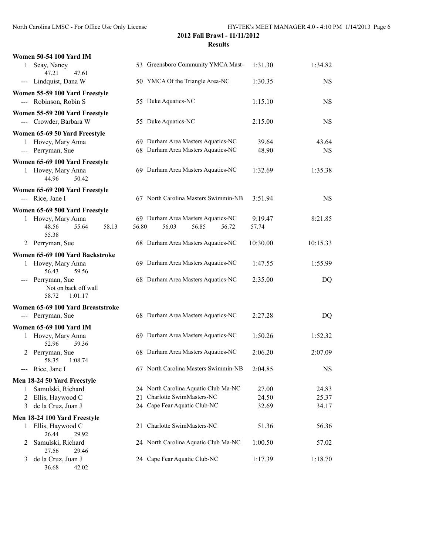| <b>Women 50-54 100 Yard IM</b>                                |                                      |          |           |
|---------------------------------------------------------------|--------------------------------------|----------|-----------|
| Seay, Nancy<br>1<br>47.21<br>47.61                            | 53 Greensboro Community YMCA Mast-   | 1:31.30  | 1:34.82   |
| --- Lindquist, Dana W                                         | 50 YMCA Of the Triangle Area-NC      | 1:30.35  | <b>NS</b> |
| Women 55-59 100 Yard Freestyle                                |                                      |          |           |
| --- Robinson, Robin S                                         | 55 Duke Aquatics-NC                  | 1:15.10  | <b>NS</b> |
| Women 55-59 200 Yard Freestyle                                |                                      |          |           |
| --- Crowder, Barbara W                                        | 55 Duke Aquatics-NC                  | 2:15.00  | <b>NS</b> |
| Women 65-69 50 Yard Freestyle                                 |                                      |          |           |
| 1 Hovey, Mary Anna                                            | 69 Durham Area Masters Aquatics-NC   | 39.64    | 43.64     |
| --- Perryman, Sue                                             | 68 Durham Area Masters Aquatics-NC   | 48.90    | <b>NS</b> |
| Women 65-69 100 Yard Freestyle                                |                                      |          |           |
| 1 Hovey, Mary Anna<br>50.42<br>44.96                          | 69 Durham Area Masters Aquatics-NC   | 1:32.69  | 1:35.38   |
| Women 65-69 200 Yard Freestyle                                |                                      |          |           |
| --- Rice, Jane I                                              | 67 North Carolina Masters Swimmin-NB | 3:51.94  | <b>NS</b> |
| Women 65-69 500 Yard Freestyle                                |                                      |          |           |
| Hovey, Mary Anna<br>1                                         | 69 Durham Area Masters Aquatics-NC   | 9:19.47  | 8:21.85   |
| 55.64<br>58.13<br>48.56<br>55.38                              | 56.80<br>56.03<br>56.85<br>56.72     | 57.74    |           |
| Perryman, Sue<br>2                                            | 68 Durham Area Masters Aquatics-NC   | 10:30.00 | 10:15.33  |
| Women 65-69 100 Yard Backstroke                               |                                      |          |           |
| 1 Hovey, Mary Anna<br>56.43<br>59.56                          | 69 Durham Area Masters Aquatics-NC   | 1:47.55  | 1:55.99   |
| --- Perryman, Sue<br>Not on back off wall<br>58.72<br>1:01.17 | 68 Durham Area Masters Aquatics-NC   | 2:35.00  | DQ        |
| Women 65-69 100 Yard Breaststroke                             |                                      |          |           |
| --- Perryman, Sue                                             | 68 Durham Area Masters Aquatics-NC   | 2:27.28  | DQ        |
| <b>Women 65-69 100 Yard IM</b>                                |                                      |          |           |
| Hovey, Mary Anna<br>1<br>52.96<br>59.36                       | 69 Durham Area Masters Aquatics-NC   | 1:50.26  | 1:52.32   |
| Perryman, Sue<br>2<br>58.35<br>1:08.74                        | 68 Durham Area Masters Aquatics-NC   | 2:06.20  | 2:07.09   |
| Rice, Jane I<br>---                                           | 67 North Carolina Masters Swimmin-NB | 2:04.85  | <b>NS</b> |
| Men 18-24 50 Yard Freestyle                                   |                                      |          |           |
| Samulski, Richard<br>1                                        | 24 North Carolina Aquatic Club Ma-NC | 27.00    | 24.83     |
| Ellis, Haywood C<br>2                                         | Charlotte SwimMasters-NC<br>21       | 24.50    | 25.37     |
| de la Cruz, Juan J<br>3                                       | 24 Cape Fear Aquatic Club-NC         | 32.69    | 34.17     |
| Men 18-24 100 Yard Freestyle                                  |                                      |          |           |
| Ellis, Haywood C<br>1                                         | 21 Charlotte SwimMasters-NC          | 51.36    | 56.36     |
| 26.44<br>29.92                                                |                                      |          |           |
| Samulski, Richard<br>2<br>27.56<br>29.46                      | 24 North Carolina Aquatic Club Ma-NC | 1:00.50  | 57.02     |
| de la Cruz, Juan J<br>3<br>36.68<br>42.02                     | 24 Cape Fear Aquatic Club-NC         | 1:17.39  | 1:18.70   |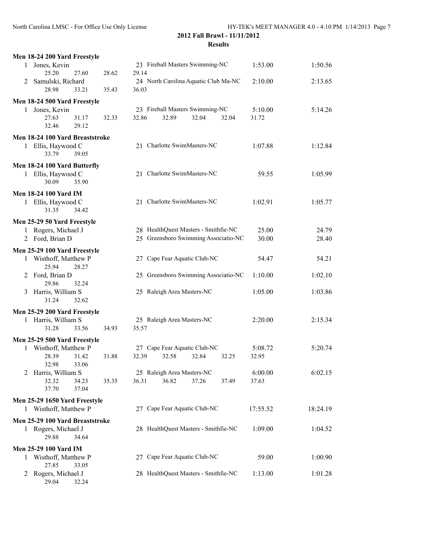| Men 18-24 200 Yard Freestyle                           |                |                                                       |                  |          |
|--------------------------------------------------------|----------------|-------------------------------------------------------|------------------|----------|
| Jones, Kevin<br>1                                      |                | 23 Fireball Masters Swimming-NC                       | 1:53.00          | 1:50.56  |
| 25.20<br>27.60                                         | 29.14<br>28.62 |                                                       |                  |          |
| Samulski, Richard<br>2                                 |                | 24 North Carolina Aquatic Club Ma-NC                  | 2:10.00          | 2:13.65  |
| 28.98<br>33.21                                         | 36.03<br>35.43 |                                                       |                  |          |
| Men 18-24 500 Yard Freestyle                           |                |                                                       |                  |          |
| Jones, Kevin<br>$\mathbf{1}$                           |                | 23 Fireball Masters Swimming-NC                       | 5:10.00          | 5:14.26  |
| 27.63<br>31.17<br>32.46<br>29.12                       | 32.33<br>32.86 | 32.89<br>32.04<br>32.04                               | 31.72            |          |
|                                                        |                |                                                       |                  |          |
| Men 18-24 100 Yard Breaststroke                        |                | 21 Charlotte SwimMasters-NC                           |                  |          |
| 1 Ellis, Haywood C<br>39.05<br>33.79                   |                |                                                       | 1:07.88          | 1:12.84  |
|                                                        |                |                                                       |                  |          |
| Men 18-24 100 Yard Butterfly                           |                | 21 Charlotte SwimMasters-NC                           | 59.55            |          |
| Ellis, Haywood C<br>1<br>30.09<br>35.90                |                |                                                       |                  | 1:05.99  |
|                                                        |                |                                                       |                  |          |
| <b>Men 18-24 100 Yard IM</b>                           |                | 21 Charlotte SwimMasters-NC                           |                  |          |
| 1 Ellis, Haywood C<br>31.35<br>34.42                   |                |                                                       | 1:02.91          | 1:05.77  |
|                                                        |                |                                                       |                  |          |
| Men 25-29 50 Yard Freestyle<br>Rogers, Michael J       |                | 28 HealthQuest Masters - Smithfie-NC                  | 25.00            | 24.79    |
| $\mathbf{1}$<br>2 Ford, Brian D                        |                | 25 Greensboro Swimming Associatio-NC                  | 30.00            | 28.40    |
|                                                        |                |                                                       |                  |          |
| Men 25-29 100 Yard Freestyle                           |                |                                                       |                  |          |
| 1 Wisthoff, Matthew P<br>25.94<br>28.27                |                | 27 Cape Fear Aquatic Club-NC                          | 54.47            | 54.21    |
| Ford, Brian D<br>2                                     |                | 25 Greensboro Swimming Associatio-NC                  | 1:10.00          | 1:02.10  |
| 29.86<br>32.24                                         |                |                                                       |                  |          |
| Harris, William S<br>3                                 |                | 25 Raleigh Area Masters-NC                            | 1:05.00          | 1:03.86  |
| 31.24<br>32.62                                         |                |                                                       |                  |          |
| Men 25-29 200 Yard Freestyle                           |                |                                                       |                  |          |
| Harris, William S<br>$\mathbf{1}$                      |                | 25 Raleigh Area Masters-NC                            | 2:20.00          | 2:15.34  |
| 31.28<br>33.56                                         | 34.93<br>35.57 |                                                       |                  |          |
| Men 25-29 500 Yard Freestyle                           |                |                                                       |                  |          |
| 1 Wisthoff, Matthew P                                  |                | 27 Cape Fear Aquatic Club-NC                          | 5:08.72          | 5:20.74  |
| 28.39<br>31.42                                         | 31.88<br>32.39 | 32.58<br>32.84<br>32.25                               | 32.95            |          |
| 32.98<br>33.06                                         |                |                                                       |                  |          |
| Harris, William S<br>2<br>32.32<br>34.23               | 36.31<br>35.35 | 25 Raleigh Area Masters-NC<br>36.82<br>37.26<br>37.49 | 6:00.00<br>37.63 | 6:02.15  |
| 37.70<br>37.04                                         |                |                                                       |                  |          |
|                                                        |                |                                                       |                  |          |
| Men 25-29 1650 Yard Freestyle<br>1 Wisthoff, Matthew P |                | 27 Cape Fear Aquatic Club-NC                          | 17:55.52         | 18:24.19 |
|                                                        |                |                                                       |                  |          |
| Men 25-29 100 Yard Breaststroke<br>Rogers, Michael J   |                | 28 HealthQuest Masters - Smithfie-NC                  | 1:09.00          |          |
| 1<br>29.88<br>34.64                                    |                |                                                       |                  | 1:04.52  |
|                                                        |                |                                                       |                  |          |
| <b>Men 25-29 100 Yard IM</b><br>Wisthoff, Matthew P    |                | 27 Cape Fear Aquatic Club-NC                          | 59.00            | 1:00.90  |
| 1<br>27.85<br>33.05                                    |                |                                                       |                  |          |
| Rogers, Michael J<br>2                                 |                | 28 HealthQuest Masters - Smithfie-NC                  | 1:13.00          | 1:01.28  |
| 29.04<br>32.24                                         |                |                                                       |                  |          |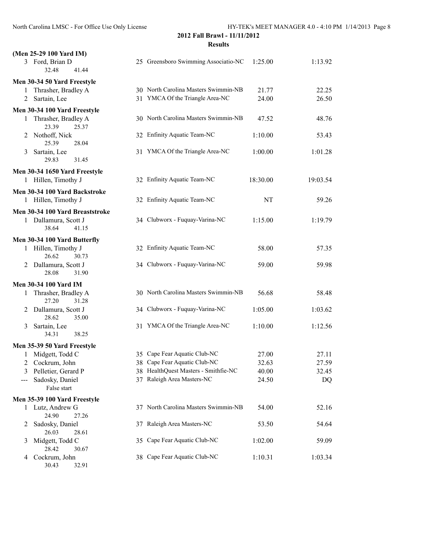| (Men 25-29 100 Yard IM)                    |                                      |          |          |
|--------------------------------------------|--------------------------------------|----------|----------|
| 3 Ford, Brian D<br>32.48<br>41.44          | 25 Greensboro Swimming Associatio-NC | 1:25.00  | 1:13.92  |
| Men 30-34 50 Yard Freestyle                |                                      |          |          |
| Thrasher, Bradley A<br>1                   | 30 North Carolina Masters Swimmin-NB | 21.77    | 22.25    |
| Sartain, Lee<br>2                          | 31 YMCA Of the Triangle Area-NC      | 24.00    | 26.50    |
| Men 30-34 100 Yard Freestyle               |                                      |          |          |
| Thrasher, Bradley A<br>1<br>23.39<br>25.37 | 30 North Carolina Masters Swimmin-NB | 47.52    | 48.76    |
| Nothoff, Nick<br>2<br>25.39<br>28.04       | 32 Enfinity Aquatic Team-NC          | 1:10.00  | 53.43    |
| Sartain, Lee<br>3<br>29.83<br>31.45        | 31 YMCA Of the Triangle Area-NC      | 1:00.00  | 1:01.28  |
| Men 30-34 1650 Yard Freestyle              |                                      |          |          |
| 1 Hillen, Timothy J                        | 32 Enfinity Aquatic Team-NC          | 18:30.00 | 19:03.54 |
| Men 30-34 100 Yard Backstroke              |                                      |          |          |
| 1 Hillen, Timothy J                        | 32 Enfinity Aquatic Team-NC          | NT       | 59.26    |
| Men 30-34 100 Yard Breaststroke            |                                      |          |          |
| 1 Dallamura, Scott J<br>38.64<br>41.15     | 34 Clubworx - Fuquay-Varina-NC       | 1:15.00  | 1:19.79  |
| Men 30-34 100 Yard Butterfly               |                                      |          |          |
| 1 Hillen, Timothy J<br>26.62<br>30.73      | 32 Enfinity Aquatic Team-NC          | 58.00    | 57.35    |
| 2 Dallamura, Scott J<br>28.08<br>31.90     | 34 Clubworx - Fuquay-Varina-NC       | 59.00    | 59.98    |
| <b>Men 30-34 100 Yard IM</b>               |                                      |          |          |
| Thrasher, Bradley A<br>1<br>27.20<br>31.28 | 30 North Carolina Masters Swimmin-NB | 56.68    | 58.48    |
| Dallamura, Scott J<br>2<br>28.62<br>35.00  | 34 Clubworx - Fuquay-Varina-NC       | 1:05.00  | 1:03.62  |
| Sartain, Lee<br>3<br>34.31<br>38.25        | 31 YMCA Of the Triangle Area-NC      | 1:10.00  | 1:12.56  |
| Men 35-39 50 Yard Freestyle                |                                      |          |          |
| 1 Midgett, Todd C                          | 35 Cape Fear Aquatic Club-NC         | 27.00    | 27.11    |
| 2 Cockrum, John                            | 38 Cape Fear Aquatic Club-NC         | 32.63    | 27.59    |
| Pelletier, Gerard P<br>3                   | 38 HealthQuest Masters - Smithfie-NC | 40.00    | 32.45    |
| Sadosky, Daniel<br>$---$<br>False start    | 37 Raleigh Area Masters-NC           | 24.50    | DQ       |
| Men 35-39 100 Yard Freestyle               |                                      |          |          |
| 1 Lutz, Andrew G<br>24.90<br>27.26         | 37 North Carolina Masters Swimmin-NB | 54.00    | 52.16    |
| Sadosky, Daniel<br>2<br>26.03<br>28.61     | 37 Raleigh Area Masters-NC           | 53.50    | 54.64    |
| Midgett, Todd C<br>3<br>28.42<br>30.67     | 35 Cape Fear Aquatic Club-NC         | 1:02.00  | 59.09    |
| Cockrum, John<br>4                         | 38 Cape Fear Aquatic Club-NC         | 1:10.31  | 1:03.34  |

30.43 32.91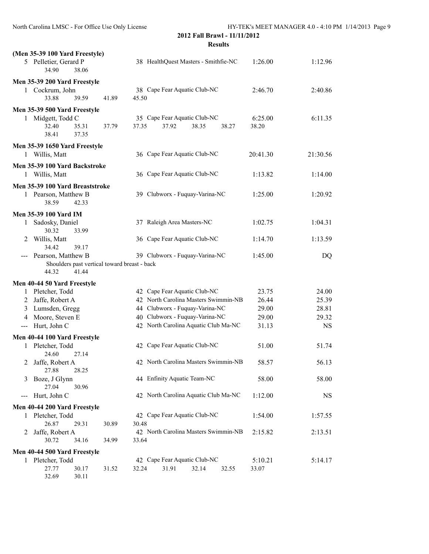32.69 30.11

|               | (Men 35-39 100 Yard Freestyle)                   |       |       |       |       |                                      |                                      |          |           |
|---------------|--------------------------------------------------|-------|-------|-------|-------|--------------------------------------|--------------------------------------|----------|-----------|
|               | 5 Pelletier, Gerard P<br>34.90                   | 38.06 |       |       |       | 38 HealthQuest Masters - Smithfie-NC |                                      | 1:26.00  | 1:12.96   |
|               | Men 35-39 200 Yard Freestyle                     |       |       |       |       |                                      |                                      |          |           |
|               | 1 Cockrum, John                                  |       |       |       |       | 38 Cape Fear Aquatic Club-NC         |                                      | 2:46.70  | 2:40.86   |
|               | 33.88                                            | 39.59 | 41.89 | 45.50 |       |                                      |                                      |          |           |
|               | Men 35-39 500 Yard Freestyle                     |       |       |       |       |                                      |                                      |          |           |
|               | 1 Midgett, Todd C                                |       |       |       |       | 35 Cape Fear Aquatic Club-NC         |                                      | 6:25.00  | 6:11.35   |
|               | 32.40                                            | 35.31 | 37.79 | 37.35 | 37.92 | 38.35                                | 38.27                                | 38.20    |           |
|               | 38.41                                            | 37.35 |       |       |       |                                      |                                      |          |           |
|               | Men 35-39 1650 Yard Freestyle                    |       |       |       |       |                                      |                                      |          |           |
|               | 1 Willis, Matt                                   |       |       |       |       | 36 Cape Fear Aquatic Club-NC         |                                      | 20:41.30 | 21:30.56  |
|               | Men 35-39 100 Yard Backstroke                    |       |       |       |       |                                      |                                      |          |           |
|               | 1 Willis, Matt                                   |       |       |       |       | 36 Cape Fear Aquatic Club-NC         |                                      | 1:13.82  | 1:14.00   |
|               | Men 35-39 100 Yard Breaststroke                  |       |       |       |       |                                      |                                      |          |           |
|               | 1 Pearson, Matthew B                             |       |       |       |       | 39 Clubworx - Fuquay-Varina-NC       |                                      | 1:25.00  | 1:20.92   |
|               | 38.59                                            | 42.33 |       |       |       |                                      |                                      |          |           |
|               | <b>Men 35-39 100 Yard IM</b>                     |       |       |       |       |                                      |                                      |          |           |
|               | 1 Sadosky, Daniel                                |       |       |       |       | 37 Raleigh Area Masters-NC           |                                      | 1:02.75  | 1:04.31   |
|               | 30.32                                            | 33.99 |       |       |       |                                      |                                      |          |           |
| 2             | Willis, Matt                                     |       |       |       |       | 36 Cape Fear Aquatic Club-NC         |                                      | 1:14.70  | 1:13.59   |
|               | 34.42                                            | 39.17 |       |       |       |                                      |                                      |          |           |
|               | Pearson, Matthew B                               |       |       |       |       | 39 Clubworx - Fuquay-Varina-NC       |                                      | 1:45.00  | DQ        |
|               | Shoulders past vertical toward breast - back     |       |       |       |       |                                      |                                      |          |           |
|               | 44.32                                            | 41.44 |       |       |       |                                      |                                      |          |           |
|               | Men 40-44 50 Yard Freestyle                      |       |       |       |       |                                      |                                      |          |           |
|               | 1 Pletcher, Todd                                 |       |       |       |       | 42 Cape Fear Aquatic Club-NC         |                                      | 23.75    | 24.00     |
|               | 2 Jaffe, Robert A                                |       |       |       |       |                                      | 42 North Carolina Masters Swimmin-NB | 26.44    | 25.39     |
|               | 3 Lumsden, Gregg                                 |       |       |       |       | 44 Clubworx - Fuquay-Varina-NC       |                                      | 29.00    | 28.81     |
| 4             | Moore, Steven E                                  |       |       |       |       | 40 Clubworx - Fuquay-Varina-NC       |                                      | 29.00    | 29.32     |
| $\frac{1}{2}$ | Hurt, John C                                     |       |       |       |       |                                      | 42 North Carolina Aquatic Club Ma-NC | 31.13    | <b>NS</b> |
|               | Men 40-44 100 Yard Freestyle                     |       |       |       |       |                                      |                                      |          |           |
|               | 1 Pletcher, Todd                                 |       |       |       |       | 42 Cape Fear Aquatic Club-NC         |                                      | 51.00    | 51.74     |
|               | 24.60                                            | 27.14 |       |       |       |                                      |                                      |          |           |
|               | 2 Jaffe, Robert A                                |       |       |       |       |                                      | 42 North Carolina Masters Swimmin-NB | 58.57    | 56.13     |
|               | 27.88                                            | 28.25 |       |       |       | 44 Enfinity Aquatic Team-NC          |                                      |          |           |
| 3             | Boze, J Glynn<br>27.04                           | 30.96 |       |       |       |                                      |                                      | 58.00    | 58.00     |
|               | --- Hurt, John C                                 |       |       |       |       |                                      | 42 North Carolina Aquatic Club Ma-NC | 1:12.00  | <b>NS</b> |
|               |                                                  |       |       |       |       |                                      |                                      |          |           |
|               | Men 40-44 200 Yard Freestyle<br>1 Pletcher, Todd |       |       |       |       | 42 Cape Fear Aquatic Club-NC         |                                      | 1:54.00  | 1:57.55   |
|               | 26.87                                            | 29.31 | 30.89 | 30.48 |       |                                      |                                      |          |           |
| 2             | Jaffe, Robert A                                  |       |       |       |       |                                      | 42 North Carolina Masters Swimmin-NB | 2:15.82  | 2:13.51   |
|               | 30.72                                            | 34.16 | 34.99 | 33.64 |       |                                      |                                      |          |           |
|               | Men 40-44 500 Yard Freestyle                     |       |       |       |       |                                      |                                      |          |           |
|               | 1 Pletcher, Todd                                 |       |       |       |       | 42 Cape Fear Aquatic Club-NC         |                                      | 5:10.21  | 5:14.17   |
|               | 27.77                                            | 30.17 | 31.52 | 32.24 | 31.91 | 32.14                                | 32.55                                | 33.07    |           |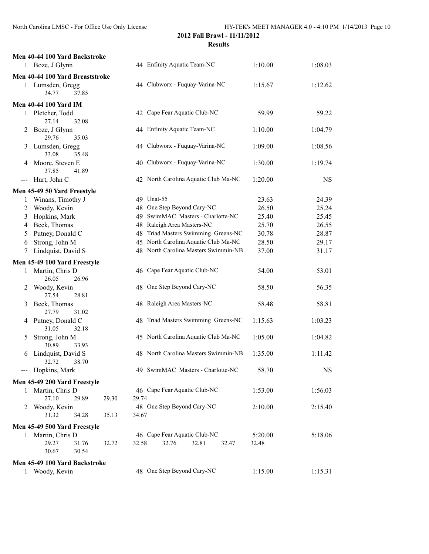|                | Men 40-44 100 Yard Backstroke        |       |       |                                      |       |       |         |           |
|----------------|--------------------------------------|-------|-------|--------------------------------------|-------|-------|---------|-----------|
|                | 1 Boze, J Glynn                      |       |       | 44 Enfinity Aquatic Team-NC          |       |       | 1:10.00 | 1:08.03   |
|                | Men 40-44 100 Yard Breaststroke      |       |       |                                      |       |       |         |           |
|                | 1 Lumsden, Gregg<br>34.77<br>37.85   |       |       | 44 Clubworx - Fuquay-Varina-NC       |       |       | 1:15.67 | 1:12.62   |
|                | <b>Men 40-44 100 Yard IM</b>         |       |       |                                      |       |       |         |           |
| 1              | Pletcher, Todd<br>27.14<br>32.08     |       |       | 42 Cape Fear Aquatic Club-NC         |       |       | 59.99   | 59.22     |
| 2              | Boze, J Glynn<br>29.76<br>35.03      |       |       | 44 Enfinity Aquatic Team-NC          |       |       | 1:10.00 | 1:04.79   |
| 3              | Lumsden, Gregg<br>33.08<br>35.48     |       |       | 44 Clubworx - Fuquay-Varina-NC       |       |       | 1:09.00 | 1:08.56   |
| 4              | Moore, Steven E<br>37.85<br>41.89    |       |       | 40 Clubworx - Fuquay-Varina-NC       |       |       | 1:30.00 | 1:19.74   |
| ---            | Hurt, John C                         |       |       | 42 North Carolina Aquatic Club Ma-NC |       |       | 1:20.00 | <b>NS</b> |
|                | Men 45-49 50 Yard Freestyle          |       |       |                                      |       |       |         |           |
| 1              | Winans, Timothy J                    |       |       | 49 Unat-55                           |       |       | 23.63   | 24.39     |
| $\overline{2}$ | Woody, Kevin                         |       | 48    | One Step Beyond Cary-NC              |       |       | 26.50   | 25.24     |
| 3              | Hopkins, Mark                        |       | 49.   | SwimMAC Masters - Charlotte-NC       |       |       | 25.40   | 25.45     |
| 4              | Beck, Thomas                         |       |       | 48 Raleigh Area Masters-NC           |       |       | 25.70   | 26.55     |
| 5              | Putney, Donald C                     |       | 48    | Triad Masters Swimming Greens-NC     |       |       | 30.78   | 28.87     |
| 6              | Strong, John M                       |       |       | 45 North Carolina Aquatic Club Ma-NC |       |       | 28.50   | 29.17     |
| 7              | Lindquist, David S                   |       |       | 48 North Carolina Masters Swimmin-NB |       |       | 37.00   | 31.17     |
|                | Men 45-49 100 Yard Freestyle         |       |       |                                      |       |       |         |           |
| 1              | Martin, Chris D<br>26.05<br>26.96    |       |       | 46 Cape Fear Aquatic Club-NC         |       |       | 54.00   | 53.01     |
| 2              | Woody, Kevin<br>27.54<br>28.81       |       |       | 48 One Step Beyond Cary-NC           |       |       | 58.50   | 56.35     |
| 3              | Beck, Thomas<br>27.79<br>31.02       |       |       | 48 Raleigh Area Masters-NC           |       |       | 58.48   | 58.81     |
| 4              | Putney, Donald C<br>31.05<br>32.18   |       |       | 48 Triad Masters Swimming Greens-NC  |       |       | 1:15.63 | 1:03.23   |
| 5              | Strong, John M<br>30.89<br>33.93     |       |       | 45 North Carolina Aquatic Club Ma-NC |       |       | 1:05.00 | 1:04.82   |
| 6              | Lindquist, David S<br>32.72<br>38.70 |       |       | 48 North Carolina Masters Swimmin-NB |       |       | 1:35.00 | 1:11.42   |
|                | --- Hopkins, Mark                    |       |       | 49 SwimMAC Masters - Charlotte-NC    |       |       | 58.70   | <b>NS</b> |
|                | Men 45-49 200 Yard Freestyle         |       |       |                                      |       |       |         |           |
| 1              | Martin, Chris D<br>27.10<br>29.89    | 29.30 | 29.74 | 46 Cape Fear Aquatic Club-NC         |       |       | 1:53.00 | 1:56.03   |
| 2              | Woody, Kevin<br>31.32<br>34.28       | 35.13 | 34.67 | 48 One Step Beyond Cary-NC           |       |       | 2:10.00 | 2:15.40   |
|                | Men 45-49 500 Yard Freestyle         |       |       |                                      |       |       |         |           |
|                | 1 Martin, Chris D                    |       |       | 46 Cape Fear Aquatic Club-NC         |       |       | 5:20.00 | 5:18.06   |
|                | 29.27<br>31.76<br>30.67<br>30.54     | 32.72 | 32.58 | 32.76                                | 32.81 | 32.47 | 32.48   |           |
|                | Men 45-49 100 Yard Backstroke        |       |       |                                      |       |       |         |           |
|                | 1 Woody, Kevin                       |       |       | 48 One Step Beyond Cary-NC           |       |       | 1:15.00 | 1:15.31   |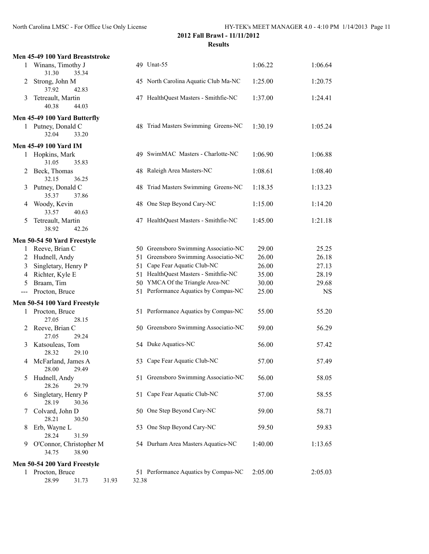|                   | Men 45-49 100 Yard Breaststroke           |       |                                      |         |           |
|-------------------|-------------------------------------------|-------|--------------------------------------|---------|-----------|
|                   | 1 Winans, Timothy J<br>31.30<br>35.34     |       | 49 Unat-55                           | 1:06.22 | 1:06.64   |
| 2                 | Strong, John M<br>37.92<br>42.83          |       | 45 North Carolina Aquatic Club Ma-NC | 1:25.00 | 1:20.75   |
| 3                 | Tetreault, Martin<br>40.38<br>44.03       |       | 47 HealthQuest Masters - Smithfie-NC | 1:37.00 | 1:24.41   |
|                   | Men 45-49 100 Yard Butterfly              |       |                                      |         |           |
|                   | 1 Putney, Donald C<br>32.04<br>33.20      |       | 48 Triad Masters Swimming Greens-NC  | 1:30.19 | 1:05.24   |
|                   | <b>Men 45-49 100 Yard IM</b>              |       |                                      |         |           |
| 1                 | Hopkins, Mark<br>31.05<br>35.83           |       | 49 SwimMAC Masters - Charlotte-NC    | 1:06.90 | 1:06.88   |
|                   | 2 Beck, Thomas<br>32.15<br>36.25          |       | 48 Raleigh Area Masters-NC           | 1:08.61 | 1:08.40   |
| 3                 | Putney, Donald C<br>35.37<br>37.86        |       | 48 Triad Masters Swimming Greens-NC  | 1:18.35 | 1:13.23   |
| 4                 | Woody, Kevin<br>33.57<br>40.63            |       | 48 One Step Beyond Cary-NC           | 1:15.00 | 1:14.20   |
| 5                 | Tetreault, Martin<br>42.26<br>38.92       |       | 47 HealthQuest Masters - Smithfie-NC | 1:45.00 | 1:21.18   |
|                   | Men 50-54 50 Yard Freestyle               |       |                                      |         |           |
| 1                 | Reeve, Brian C                            |       | 50 Greensboro Swimming Associatio-NC | 29.00   | 25.25     |
| $\overline{2}$    | Hudnell, Andy                             | 51    | Greensboro Swimming Associatio-NC    | 26.00   | 26.18     |
| 3                 | Singletary, Henry P                       | 51    | Cape Fear Aquatic Club-NC            | 26.00   | 27.13     |
| $\overline{4}$    | Richter, Kyle E                           |       | 51 HealthQuest Masters - Smithfie-NC | 35.00   | 28.19     |
| 5                 | Braam, Tim                                |       | 50 YMCA Of the Triangle Area-NC      | 30.00   | 29.68     |
| $\qquad \qquad -$ | Procton, Bruce                            |       | 51 Performance Aquatics by Compas-NC | 25.00   | <b>NS</b> |
|                   | Men 50-54 100 Yard Freestyle              |       |                                      |         |           |
|                   | 1 Procton, Bruce<br>27.05<br>28.15        |       | 51 Performance Aquatics by Compas-NC | 55.00   | 55.20     |
| 2                 | Reeve, Brian C<br>27.05<br>29.24          |       | 50 Greensboro Swimming Associatio-NC | 59.00   | 56.29     |
| 3                 | Katsouleas, Tom<br>28.32<br>29.10         |       | 54 Duke Aquatics-NC                  | 56.00   | 57.42     |
|                   | 4 McFarland, James A<br>28.00<br>29.49    |       | 53 Cape Fear Aquatic Club-NC         | 57.00   | 57.49     |
| 5                 | Hudnell, Andy<br>28.26<br>29.79           |       | 51 Greensboro Swimming Associatio-NC | 56.00   | 58.05     |
| 6                 | Singletary, Henry P<br>28.19<br>30.36     |       | 51 Cape Fear Aquatic Club-NC         | 57.00   | 58.55     |
| 7                 | Colvard, John D<br>28.21<br>30.50         |       | 50 One Step Beyond Cary-NC           | 59.00   | 58.71     |
| 8                 | Erb, Wayne L<br>28.24<br>31.59            |       | 53 One Step Beyond Cary-NC           | 59.50   | 59.83     |
| 9                 | O'Connor, Christopher M<br>34.75<br>38.90 |       | 54 Durham Area Masters Aquatics-NC   | 1:40.00 | 1:13.65   |
|                   | Men 50-54 200 Yard Freestyle              |       |                                      |         |           |
|                   | 1 Procton, Bruce                          |       | 51 Performance Aquatics by Compas-NC | 2:05.00 | 2:05.03   |
|                   | 28.99<br>31.73<br>31.93                   | 32.38 |                                      |         |           |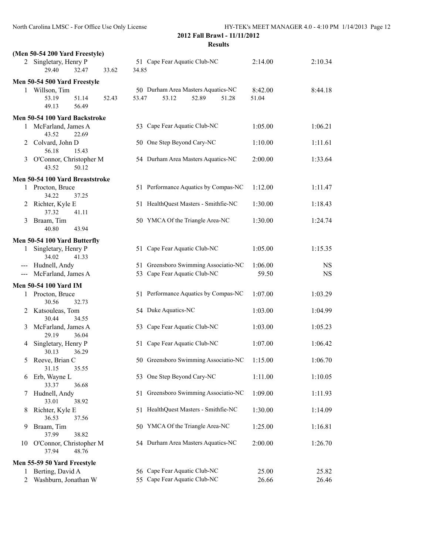|                     | (Men 50-54 200 Yard Freestyle)            |       |       |                                                               |                  |           |
|---------------------|-------------------------------------------|-------|-------|---------------------------------------------------------------|------------------|-----------|
|                     | 2 Singletary, Henry P<br>29.40<br>32.47   | 33.62 | 34.85 | 51 Cape Fear Aquatic Club-NC                                  | 2:14.00          | 2:10.34   |
|                     | Men 50-54 500 Yard Freestyle              |       |       |                                                               |                  |           |
|                     | 1 Willson, Tim<br>53.19<br>51.14          | 52.43 | 53.47 | 50 Durham Area Masters Aquatics-NC<br>53.12<br>52.89<br>51.28 | 8:42.00<br>51.04 | 8:44.18   |
|                     | 56.49<br>49.13                            |       |       |                                                               |                  |           |
|                     | Men 50-54 100 Yard Backstroke             |       |       |                                                               |                  |           |
| 1                   | McFarland, James A<br>43.52<br>22.69      |       |       | 53 Cape Fear Aquatic Club-NC                                  | 1:05.00          | 1:06.21   |
| 2                   | Colvard, John D<br>56.18<br>15.43         |       |       | 50 One Step Beyond Cary-NC                                    | 1:10.00          | 1:11.61   |
| 3                   | O'Connor, Christopher M<br>43.52<br>50.12 |       |       | 54 Durham Area Masters Aquatics-NC                            | 2:00.00          | 1:33.64   |
|                     | Men 50-54 100 Yard Breaststroke           |       |       |                                                               |                  |           |
|                     | 1 Procton, Bruce<br>34.22<br>37.25        |       |       | 51 Performance Aquatics by Compas-NC                          | 1:12.00          | 1:11.47   |
|                     | 2 Richter, Kyle E<br>37.32<br>41.11       |       |       | 51 HealthQuest Masters - Smithfie-NC                          | 1:30.00          | 1:18.43   |
| 3                   | Braam, Tim<br>40.80<br>43.94              |       |       | 50 YMCA Of the Triangle Area-NC                               | 1:30.00          | 1:24.74   |
|                     | Men 50-54 100 Yard Butterfly              |       |       |                                                               |                  |           |
| 1                   | Singletary, Henry P<br>34.02<br>41.33     |       |       | 51 Cape Fear Aquatic Club-NC                                  | 1:05.00          | 1:15.35   |
|                     | Hudnell, Andy                             |       |       | 51 Greensboro Swimming Associatio-NC                          | 1:06.00          | <b>NS</b> |
| $\qquad \qquad - -$ | McFarland, James A                        |       |       | 53 Cape Fear Aquatic Club-NC                                  | 59.50            | <b>NS</b> |
|                     |                                           |       |       |                                                               |                  |           |
|                     | Men 50-54 100 Yard IM                     |       |       |                                                               |                  |           |
| 1                   | Procton, Bruce<br>30.56<br>32.73          |       |       | 51 Performance Aquatics by Compas-NC                          | 1:07.00          | 1:03.29   |
| 2                   | Katsouleas, Tom<br>30.44<br>34.55         |       |       | 54 Duke Aquatics-NC                                           | 1:03.00          | 1:04.99   |
| 3                   | McFarland, James A<br>29.19<br>36.04      |       |       | 53 Cape Fear Aquatic Club-NC                                  | 1:03.00          | 1:05.23   |
| 4                   | Singletary, Henry P<br>30.13<br>36.29     |       |       | 51 Cape Fear Aquatic Club-NC                                  | 1:07.00          | 1:06.42   |
| 5                   | Reeve, Brian C<br>31.15<br>35.55          |       |       | 50 Greensboro Swimming Associatio-NC                          | 1:15.00          | 1:06.70   |
| 6                   | Erb, Wayne L<br>36.68<br>33.37            |       |       | 53 One Step Beyond Cary-NC                                    | 1:11.00          | 1:10.05   |
| 7                   | Hudnell, Andy<br>33.01<br>38.92           |       | 51    | Greensboro Swimming Associatio-NC                             | 1:09.00          | 1:11.93   |
| 8                   | Richter, Kyle E<br>36.53<br>37.56         |       |       | 51 HealthQuest Masters - Smithfie-NC                          | 1:30.00          | 1:14.09   |
| 9                   | Braam, Tim<br>37.99<br>38.82              |       |       | 50 YMCA Of the Triangle Area-NC                               | 1:25.00          | 1:16.81   |
| 10                  | O'Connor, Christopher M<br>37.94<br>48.76 |       |       | 54 Durham Area Masters Aquatics-NC                            | 2:00.00          | 1:26.70   |
|                     | Men 55-59 50 Yard Freestyle               |       |       |                                                               |                  |           |
| 1                   | Berting, David A                          |       |       | 56 Cape Fear Aquatic Club-NC                                  | 25.00            | 25.82     |
| 2                   | Washburn, Jonathan W                      |       |       | 55 Cape Fear Aquatic Club-NC                                  | 26.66            | 26.46     |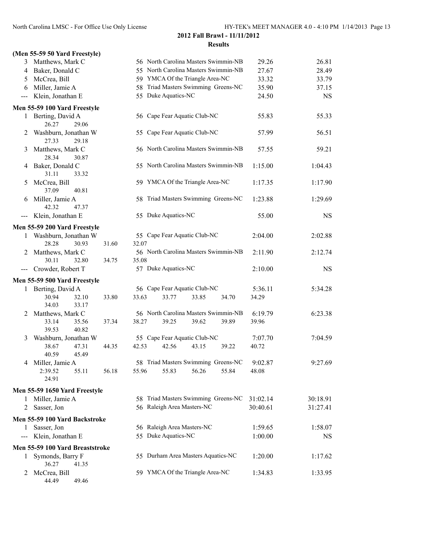# **(Men 55-59 50 Yard Freestyle)**

44.49 49.46

| 3                   | Matthews, Mark C                         |       |                                      | 56 North Carolina Masters Swimmin-NB         |       |         | 29.26            | 26.81     |
|---------------------|------------------------------------------|-------|--------------------------------------|----------------------------------------------|-------|---------|------------------|-----------|
|                     | 4 Baker, Donald C                        |       | 55 North Carolina Masters Swimmin-NB |                                              |       | 27.67   | 28.49            |           |
| 5                   | McCrea, Bill                             |       | 59 YMCA Of the Triangle Area-NC      |                                              |       | 33.32   | 33.79            |           |
| 6                   | Miller, Jamie A                          |       | 58 Triad Masters Swimming Greens-NC  |                                              |       | 35.90   | 37.15            |           |
| $---$               | Klein, Jonathan E                        |       |                                      | 55 Duke Aquatics-NC                          |       |         | 24.50            | <b>NS</b> |
|                     | Men 55-59 100 Yard Freestyle             |       |                                      |                                              |       |         |                  |           |
| 1                   | Berting, David A<br>26.27<br>29.06       |       |                                      | 56 Cape Fear Aquatic Club-NC                 |       |         | 55.83            | 55.33     |
| 2                   | Washburn, Jonathan W<br>27.33<br>29.18   |       |                                      | 55 Cape Fear Aquatic Club-NC                 |       |         | 57.99            | 56.51     |
| 3                   | Matthews, Mark C<br>28.34<br>30.87       |       |                                      | 56 North Carolina Masters Swimmin-NB         |       |         | 57.55            | 59.21     |
| 4                   | Baker, Donald C<br>31.11<br>33.32        |       |                                      | 55 North Carolina Masters Swimmin-NB         |       |         | 1:15.00          | 1:04.43   |
| 5                   | McCrea, Bill<br>37.09<br>40.81           |       |                                      | 59 YMCA Of the Triangle Area-NC              |       |         | 1:17.35          | 1:17.90   |
| 6                   | Miller, Jamie A<br>42.32<br>47.37        |       |                                      | 58 Triad Masters Swimming Greens-NC          |       |         | 1:23.88          | 1:29.69   |
| $\qquad \qquad - -$ | Klein, Jonathan E                        |       |                                      | 55 Duke Aquatics-NC                          |       |         | 55.00            | <b>NS</b> |
|                     | Men 55-59 200 Yard Freestyle             |       |                                      |                                              |       |         |                  |           |
|                     | 1 Washburn, Jonathan W<br>28.28<br>30.93 | 31.60 | 32.07                                | 55 Cape Fear Aquatic Club-NC                 |       |         | 2:04.00          | 2:02.88   |
| 2                   | Matthews, Mark C<br>30.11<br>32.80       | 34.75 | 35.08                                | 56 North Carolina Masters Swimmin-NB         |       |         | 2:11.90          | 2:12.74   |
| $\qquad \qquad - -$ | Crowder, Robert T                        |       |                                      | 57 Duke Aquatics-NC                          |       |         | 2:10.00          | <b>NS</b> |
|                     | Men 55-59 500 Yard Freestyle             |       |                                      |                                              |       |         |                  |           |
| 1                   | Berting, David A                         |       |                                      | 56 Cape Fear Aquatic Club-NC                 |       |         | 5:36.11          | 5:34.28   |
|                     | 30.94<br>32.10<br>34.03<br>33.17         | 33.80 | 33.63                                | 33.77                                        | 33.85 | 34.70   | 34.29            |           |
| 2                   | Matthews, Mark C                         |       |                                      | 56 North Carolina Masters Swimmin-NB         |       | 6:19.79 | 6:23.38          |           |
|                     | 33.14<br>35.56<br>39.53<br>40.82         | 37.34 | 38.27                                | 39.25                                        | 39.62 | 39.89   | 39.96            |           |
| 3                   | Washburn, Jonathan W                     |       |                                      | 55 Cape Fear Aquatic Club-NC                 |       |         | 7:07.70          | 7:04.59   |
|                     | 47.31<br>38.67<br>40.59<br>45.49         | 44.35 | 42.53                                | 42.56                                        | 43.15 | 39.22   | 40.72            |           |
|                     | 4 Miller, Jamie A<br>2:39.52<br>55.11    | 56.18 | 55.96                                | 58 Triad Masters Swimming Greens-NC<br>55.83 | 56.26 | 55.84   | 9:02.87<br>48.08 | 9:27.69   |
|                     | 24.91                                    |       |                                      |                                              |       |         |                  |           |
|                     | Men 55-59 1650 Yard Freestyle            |       |                                      |                                              |       |         |                  |           |
|                     | 1 Miller, Jamie A                        |       |                                      | 58 Triad Masters Swimming Greens-NC          |       |         | 31:02.14         | 30:18.91  |
| 2                   | Sasser, Jon                              |       |                                      | 56 Raleigh Area Masters-NC                   |       |         | 30:40.61         | 31:27.41  |
|                     | Men 55-59 100 Yard Backstroke            |       |                                      |                                              |       |         |                  |           |
| 1                   | Sasser, Jon                              |       |                                      | 56 Raleigh Area Masters-NC                   |       | 1:59.65 | 1:58.07          |           |
| ---                 | Klein, Jonathan E                        |       |                                      | 55 Duke Aquatics-NC                          |       |         | 1:00.00          | <b>NS</b> |
|                     | Men 55-59 100 Yard Breaststroke          |       |                                      |                                              |       |         |                  |           |
| 1                   | Symonds, Barry F<br>36.27<br>41.35       |       |                                      | 55 Durham Area Masters Aquatics-NC           |       |         | 1:20.00          | 1:17.62   |
|                     | McCrea, Bill                             |       | 59 YMCA Of the Triangle Area-NC      |                                              |       | 1:34.83 | 1:33.95          |           |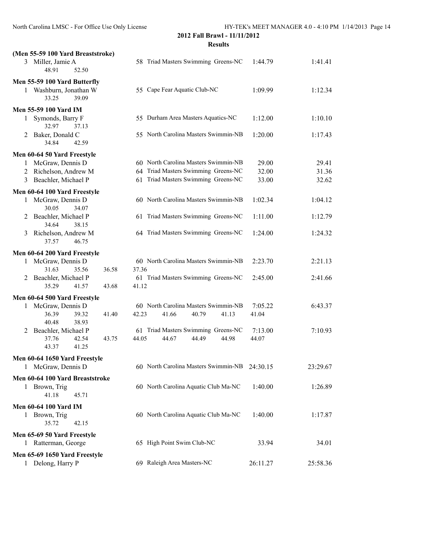| (Men 55-59 100 Yard Breaststroke)          |                                      |          |          |
|--------------------------------------------|--------------------------------------|----------|----------|
| 3 Miller, Jamie A<br>48.91<br>52.50        | 58 Triad Masters Swimming Greens-NC  | 1:44.79  | 1:41.41  |
| Men 55-59 100 Yard Butterfly               |                                      |          |          |
| 1 Washburn, Jonathan W<br>39.09<br>33.25   | 55 Cape Fear Aquatic Club-NC         | 1:09.99  | 1:12.34  |
| <b>Men 55-59 100 Yard IM</b>               |                                      |          |          |
| Symonds, Barry F<br>1<br>32.97<br>37.13    | 55 Durham Area Masters Aquatics-NC   | 1:12.00  | 1:10.10  |
| Baker, Donald C<br>2<br>34.84<br>42.59     | 55 North Carolina Masters Swimmin-NB | 1:20.00  | 1:17.43  |
| Men 60-64 50 Yard Freestyle                |                                      |          |          |
| McGraw, Dennis D<br>1                      | 60 North Carolina Masters Swimmin-NB | 29.00    | 29.41    |
| 2 Richelson, Andrew M                      | 64 Triad Masters Swimming Greens-NC  | 32.00    | 31.36    |
| Beachler, Michael P<br>3                   | 61 Triad Masters Swimming Greens-NC  | 33.00    | 32.62    |
| Men 60-64 100 Yard Freestyle               |                                      |          |          |
| McGraw, Dennis D<br>1<br>30.05<br>34.07    | 60 North Carolina Masters Swimmin-NB | 1:02.34  | 1:04.12  |
| Beachler, Michael P<br>2<br>34.64<br>38.15 | 61 Triad Masters Swimming Greens-NC  | 1:11.00  | 1:12.79  |
| Richelson, Andrew M<br>3<br>46.75<br>37.57 | 64 Triad Masters Swimming Greens-NC  | 1:24.00  | 1:24.32  |
| Men 60-64 200 Yard Freestyle               |                                      |          |          |
| McGraw, Dennis D<br>1                      | 60 North Carolina Masters Swimmin-NB | 2:23.70  | 2:21.13  |
| 31.63<br>35.56<br>36.58                    | 37.36                                |          |          |
| Beachler, Michael P<br>2                   | 61 Triad Masters Swimming Greens-NC  | 2:45.00  | 2:41.66  |
| 35.29<br>41.57<br>43.68                    | 41.12                                |          |          |
| Men 60-64 500 Yard Freestyle               |                                      |          |          |
| McGraw, Dennis D<br>1                      | 60 North Carolina Masters Swimmin-NB | 7:05.22  | 6:43.37  |
| 36.39<br>39.32<br>41.40<br>40.48<br>38.93  | 42.23<br>40.79<br>41.66<br>41.13     | 41.04    |          |
| Beachler, Michael P<br>2                   | 61 Triad Masters Swimming Greens-NC  | 7:13.00  | 7:10.93  |
| 37.76<br>42.54<br>43.75<br>43.37<br>41.25  | 44.05<br>44.98<br>44.67<br>44.49     | 44.07    |          |
| Men 60-64 1650 Yard Freestyle              |                                      |          |          |
| McGraw, Dennis D<br>1                      | 60 North Carolina Masters Swimmin-NB | 24:30.15 | 23:29.67 |
| Men 60-64 100 Yard Breaststroke            |                                      |          |          |
| 1 Brown, Trig<br>41.18<br>45.71            | 60 North Carolina Aquatic Club Ma-NC | 1:40.00  | 1:26.89  |
| <b>Men 60-64 100 Yard IM</b>               |                                      |          |          |
| 1 Brown, Trig<br>35.72<br>42.15            | 60 North Carolina Aquatic Club Ma-NC | 1:40.00  | 1:17.87  |
| Men 65-69 50 Yard Freestyle                |                                      |          |          |
| 1 Ratterman, George                        | 65 High Point Swim Club-NC           | 33.94    | 34.01    |
| Men 65-69 1650 Yard Freestyle              |                                      |          |          |
| 1 Delong, Harry P                          | 69 Raleigh Area Masters-NC           | 26:11.27 | 25:58.36 |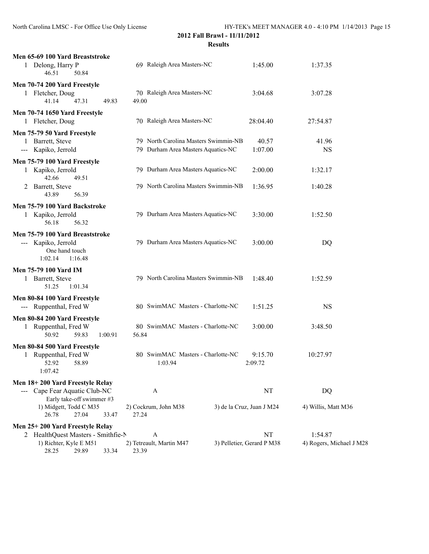| Men 65-69 100 Yard Breaststroke<br>1 Delong, Harry P<br>50.84<br>46.51                         | 69 Raleigh Area Masters-NC                                                 | 1:45.00                         | 1:37.35                   |
|------------------------------------------------------------------------------------------------|----------------------------------------------------------------------------|---------------------------------|---------------------------|
| Men 70-74 200 Yard Freestyle<br>1 Fletcher, Doug<br>41.14<br>47.31<br>49.83                    | 70 Raleigh Area Masters-NC<br>49.00                                        | 3:04.68                         | 3:07.28                   |
| Men 70-74 1650 Yard Freestyle<br>1 Fletcher, Doug                                              | 70 Raleigh Area Masters-NC                                                 | 28:04.40                        | 27:54.87                  |
| Men 75-79 50 Yard Freestyle<br>1 Barrett, Steve<br>--- Kapiko, Jerrold                         | 79 North Carolina Masters Swimmin-NB<br>79 Durham Area Masters Aquatics-NC | 40.57<br>1:07.00                | 41.96<br><b>NS</b>        |
| Men 75-79 100 Yard Freestyle<br>1 Kapiko, Jerrold<br>42.66<br>49.51                            | 79 Durham Area Masters Aquatics-NC                                         | 2:00.00                         | 1:32.17                   |
| 2 Barrett, Steve<br>43.89<br>56.39                                                             | 79 North Carolina Masters Swimmin-NB                                       | 1:36.95                         | 1:40.28                   |
| Men 75-79 100 Yard Backstroke<br>1 Kapiko, Jerrold<br>56.18<br>56.32                           | 79 Durham Area Masters Aquatics-NC                                         | 3:30.00                         | 1:52.50                   |
| Men 75-79 100 Yard Breaststroke<br>--- Kapiko, Jerrold<br>One hand touch<br>1:02.14<br>1:16.48 | 79 Durham Area Masters Aquatics-NC                                         | 3:00.00                         | DQ                        |
| <b>Men 75-79 100 Yard IM</b><br>1 Barrett, Steve<br>51.25<br>1:01.34                           | 79 North Carolina Masters Swimmin-NB                                       | 1:48.40                         | 1:52.59                   |
| Men 80-84 100 Yard Freestyle<br>--- Ruppenthal, Fred W                                         | 80 SwimMAC Masters - Charlotte-NC                                          | 1:51.25                         | <b>NS</b>                 |
| Men 80-84 200 Yard Freestyle<br>1 Ruppenthal, Fred W<br>50.92<br>59.83<br>1:00.91              | 80 SwimMAC Masters - Charlotte-NC<br>56.84                                 | 3:00.00                         | 3:48.50                   |
| Men 80-84 500 Yard Freestyle<br>Ruppenthal, Fred W<br>1<br>52.92<br>58.89<br>1:07.42           | 80 SwimMAC Masters - Charlotte-NC<br>1:03.94                               | 9:15.70<br>2:09.72              | 10:27.97                  |
| Men 18+200 Yard Freestyle Relay                                                                |                                                                            |                                 |                           |
| Cape Fear Aquatic Club-NC<br>Early take-off swimmer #3<br>1) Midgett, Todd C M35               | A<br>2) Cockrum, John M38                                                  | NT<br>3) de la Cruz, Juan J M24 | DQ<br>4) Willis, Matt M36 |
| 27.04<br>26.78<br>33.47                                                                        | 27.24                                                                      |                                 |                           |
| Men 25+200 Yard Freestyle Relay                                                                |                                                                            |                                 |                           |
| 2 HealthQuest Masters - Smithfie-N                                                             | A                                                                          | NT                              | 1:54.87                   |
| 1) Richter, Kyle E M51<br>28.25<br>29.89<br>33.34                                              | 2) Tetreault, Martin M47<br>23.39                                          | 3) Pelletier, Gerard P M38      | 4) Rogers, Michael J M28  |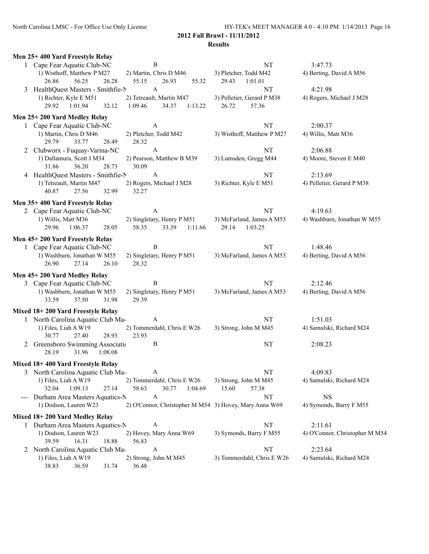|     | Men 25+400 Yard Freestyle Relay            |                                                        |                            |                                |
|-----|--------------------------------------------|--------------------------------------------------------|----------------------------|--------------------------------|
|     | 1 Cape Fear Aquatic Club-NC                | $\, {\bf B}$                                           | NT                         | 3:47.73                        |
|     | 1) Wisthoff, Matthew P M27                 | 2) Martin, Chris D M46                                 | 3) Pletcher, Todd M42      | 4) Berting, David A M56        |
|     | 26.28<br>26.86<br>56.25                    | 55.15<br>26.93<br>55.32                                | 29.43<br>1:01.01           |                                |
|     | 3 HealthQuest Masters - Smithfie-N         | $\mathbf{A}$                                           | NT                         | 4:21.98                        |
|     | 1) Richter, Kyle E M51                     | 2) Tetreault, Martin M47                               | 3) Pelletier, Gerard P M38 | 4) Rogers, Michael J M28       |
|     | 32.12<br>29.92<br>1:01.94                  | 1:09.46<br>34.37<br>1:13.22                            | 26.72<br>57.36             |                                |
|     | Men 25+200 Yard Medley Relay               |                                                        |                            |                                |
|     | 1 Cape Fear Aquatic Club-NC                | A                                                      | NT                         | 2:00.37                        |
|     | 1) Martin, Chris D M46                     | 2) Pletcher, Todd M42                                  | 3) Wisthoff, Matthew P M27 | 4) Willis, Matt M36            |
|     | 29.79<br>33.77<br>28.49                    | 28.32                                                  |                            |                                |
|     | 2 Clubworx - Fuquay-Varina-NC              | $\mathbf{A}$                                           | NT                         | 2:06.88                        |
|     | 1) Dallamura, Scott J M34                  | 2) Pearson, Matthew B M39                              | 3) Lumsden, Gregg M44      | 4) Moore, Steven E M40         |
|     | 31.86<br>36.20<br>28.73                    | 30.09                                                  |                            |                                |
|     | 4 HealthQuest Masters - Smithfie-N         | $\mathbf{A}$                                           | NT                         | 2:13.69                        |
|     | 1) Tetreault, Martin M47<br>40.87<br>32.99 | 2) Rogers, Michael J M28<br>32.27                      | 3) Richter, Kyle E M51     | 4) Pelletier, Gerard P M38     |
|     | 27.56                                      |                                                        |                            |                                |
|     | Men 35+400 Yard Freestyle Relay            |                                                        |                            |                                |
|     | 2 Cape Fear Aquatic Club-NC                | A                                                      | NT                         | 4:19.63                        |
|     | 1) Willis, Matt M36                        | 2) Singletary, Henry P M51                             | 3) McFarland, James A M53  | 4) Washburn, Jonathan W M55    |
|     | 29.96<br>1:06.37<br>28.05                  | 58.35<br>33.39<br>1:11.66                              | 29.14<br>1:03.25           |                                |
|     | Men 45+200 Yard Freestyle Relay            |                                                        |                            |                                |
|     | 1 Cape Fear Aquatic Club-NC                | $\, {\bf B}$                                           | NT                         | 1:48.46                        |
|     | 1) Washburn, Jonathan W M55                | 2) Singletary, Henry P M51                             | 3) McFarland, James A M53  | 4) Berting, David A M56        |
|     | 27.14<br>26.90<br>26.10                    | 28.32                                                  |                            |                                |
|     | Men 45+200 Yard Medley Relay               |                                                        |                            |                                |
|     | 3 Cape Fear Aquatic Club-NC                | B                                                      | NT                         | 2:12.46                        |
|     | 1) Washburn, Jonathan W M55                | 2) Singletary, Henry P M51                             | 3) McFarland, James A M53  | 4) Berting, David A M56        |
|     | 33.59<br>37.50<br>31.98                    | 29.39                                                  |                            |                                |
|     | Mixed 18+200 Yard Freestyle Relay          |                                                        |                            |                                |
|     | 1 North Carolina Aquatic Club Ma-          | A                                                      | NT                         | 1:51.03                        |
|     | 1) Files, Liah A W19                       | 2) Tommerdahl, Chris E W26                             | 3) Strong, John M M45      | 4) Samulski, Richard M24       |
|     | 30.77<br>27.40<br>28.93                    | 23.93                                                  |                            |                                |
|     | 2 Greensboro Swimming Association          | B                                                      | NT                         | 2:08.23                        |
|     | 28.19<br>31.96<br>1:08.08                  |                                                        |                            |                                |
|     | Mixed 18+400 Yard Freestyle Relay          |                                                        |                            |                                |
|     | 3 North Carolina Aquatic Club Ma-          | A                                                      | NT                         | 4:09.83                        |
|     | 1) Files, Liah A W19                       | 2) Tommerdahl, Chris E W26                             | 3) Strong, John M M45      | 4) Samulski, Richard M24       |
|     | 1:09.13<br>27.14<br>32.04                  | 58.63<br>30.77<br>1:04.69                              | 57.38<br>15.60             |                                |
| --- | Durham Area Masters Aquatics-N             | A                                                      | NT                         | <b>NS</b>                      |
|     | 1) Dodson, Lauren W23                      | 2) O'Connor, Christopher M M54 3) Hovey, Mary Anna W69 |                            | 4) Symonds, Barry F M55        |
|     | Mixed 18+200 Yard Medley Relay             |                                                        |                            |                                |
|     | 1 Durham Area Masters Aquatics-N           | A                                                      | NT                         | 2:11.61                        |
|     | 1) Dodson, Lauren W23                      | 2) Hovey, Mary Anna W69                                | 3) Symonds, Barry F M55    | 4) O'Connor, Christopher M M54 |
|     | 39.59<br>16.31<br>18.88                    | 56.83                                                  |                            |                                |
| 2   | North Carolina Aquatic Club Ma-            | A                                                      | NT                         | 2:23.64                        |
|     | 1) Files, Liah A W19                       | 2) Strong, John M M45                                  | 3) Tommerdahl, Chris E W26 | 4) Samulski, Richard M24       |
|     | 38.83<br>36.59<br>31.74                    | 36.48                                                  |                            |                                |
|     |                                            |                                                        |                            |                                |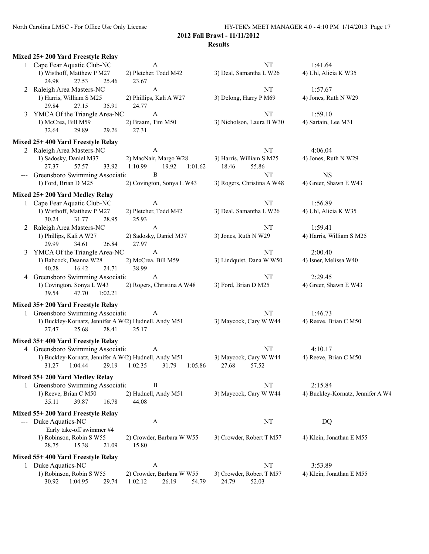|                | Mixed 25+200 Yard Freestyle Relay                                                |                                                        |                                            |                                   |
|----------------|----------------------------------------------------------------------------------|--------------------------------------------------------|--------------------------------------------|-----------------------------------|
|                | 1 Cape Fear Aquatic Club-NC                                                      | A                                                      | <b>NT</b>                                  | 1:41.64                           |
|                | 1) Wisthoff, Matthew P M27<br>24.98<br>27.53<br>25.46                            | 2) Pletcher, Todd M42<br>23.67                         | 3) Deal, Samantha L W26                    | 4) Uhl, Alicia K W35              |
| 2              | Raleigh Area Masters-NC                                                          | $\mathbf{A}$                                           | <b>NT</b>                                  | 1:57.67                           |
|                | 1) Harris, William S M25<br>29.84<br>35.91<br>27.15                              | 2) Phillips, Kali A W27<br>24.77                       | 3) Delong, Harry P M69                     | 4) Jones, Ruth N W29              |
| 3              | YMCA Of the Triangle Area-NC                                                     | $\boldsymbol{\mathsf{A}}$                              | NT                                         | 1:59.10                           |
|                | 1) McCrea, Bill M59<br>32.64<br>29.89<br>29.26                                   | 2) Braam, Tim M50<br>27.31                             | 3) Nicholson, Laura B W30                  | 4) Sartain, Lee M31               |
|                | Mixed 25+400 Yard Freestyle Relay                                                |                                                        |                                            |                                   |
|                | 2 Raleigh Area Masters-NC                                                        | A                                                      | <b>NT</b>                                  | 4:06.04                           |
|                | 1) Sadosky, Daniel M37<br>27.37<br>57.57<br>33.92                                | 2) MacNair, Margo W28<br>1:10.99<br>19.92<br>1:01.62   | 3) Harris, William S M25<br>18.46<br>55.86 | 4) Jones, Ruth N W29              |
|                | Greensboro Swimming Associatio                                                   | B                                                      | NT                                         | <b>NS</b>                         |
|                | 1) Ford, Brian D M25                                                             | 2) Covington, Sonya L W43                              | 3) Rogers, Christina A W48                 | 4) Greer, Shawn E W43             |
|                | Mixed 25+200 Yard Medley Relay                                                   |                                                        |                                            |                                   |
|                | 1 Cape Fear Aquatic Club-NC                                                      | A                                                      | <b>NT</b>                                  | 1:56.89                           |
|                | 1) Wisthoff, Matthew P M27<br>30.24<br>31.77<br>28.95                            | 2) Pletcher, Todd M42<br>25.93                         | 3) Deal, Samantha L W26                    | 4) Uhl, Alicia K W35              |
| $\overline{2}$ | Raleigh Area Masters-NC                                                          | $\mathbf{A}$                                           | <b>NT</b>                                  | 1:59.41                           |
|                | 1) Phillips, Kali A W27<br>29.99<br>34.61<br>26.84                               | 2) Sadosky, Daniel M37<br>27.97                        | 3) Jones, Ruth N W29                       | 4) Harris, William S M25          |
| 3              | YMCA Of the Triangle Area-NC                                                     | $\mathbf{A}$                                           | <b>NT</b>                                  | 2:00.40                           |
|                | 1) Babcock, Deanna W28<br>40.28<br>16.42<br>24.71                                | 2) McCrea, Bill M59<br>38.99                           | 3) Lindquist, Dana W W50                   | 4) Isner, Melissa W40             |
| 4              | Greensboro Swimming Associatio                                                   | A                                                      | NT                                         | 2:29.45                           |
|                | 1) Covington, Sonya L W43<br>39.54<br>47.70<br>1:02.21                           | 2) Rogers, Christina A W48                             | 3) Ford, Brian D M25                       | 4) Greer, Shawn E W43             |
|                | Mixed 35+200 Yard Freestyle Relay                                                |                                                        |                                            |                                   |
|                | 1 Greensboro Swimming Associatic                                                 | A                                                      | <b>NT</b>                                  | 1:46.73                           |
|                | 1) Buckley-Kornatz, Jennifer A W42) Hudnell, Andy M51<br>27.47<br>25.68<br>28.41 | 25.17                                                  | 3) Maycock, Cary W W44                     | 4) Reeve, Brian C M50             |
|                | Mixed 35+400 Yard Freestyle Relay                                                |                                                        |                                            |                                   |
|                | 4 Greensboro Swimming Associatic                                                 | A                                                      | <b>NT</b>                                  | 4:10.17                           |
|                | 1) Buckley-Kornatz, Jennifer A W42) Hudnell, Andy M51                            | 31.27 1:04.44 29.19 1:02.35 31.79 1:05.86              | 3) Maycock, Cary W W44<br>27.68 57.52      | 4) Reeve, Brian C M50             |
|                | Mixed 35+200 Yard Medley Relay                                                   |                                                        |                                            |                                   |
|                | 1 Greensboro Swimming Association                                                | B                                                      | NT                                         | 2:15.84                           |
|                | 1) Reeve, Brian C M50<br>39.87<br>16.78<br>35.11                                 | 2) Hudnell, Andy M51<br>44.08                          | 3) Maycock, Cary W W44                     | 4) Buckley-Kornatz, Jennifer A W4 |
|                | Mixed 55+200 Yard Freestyle Relay                                                |                                                        |                                            |                                   |
| $\frac{1}{2}$  | Duke Aquatics-NC                                                                 | A                                                      | $\rm{NT}$                                  | DQ                                |
|                | Early take-off swimmer #4<br>1) Robinson, Robin S W55<br>28.75<br>15.38<br>21.09 | 2) Crowder, Barbara W W55<br>15.80                     | 3) Crowder, Robert T M57                   | 4) Klein, Jonathan E M55          |
|                | Mixed 55+400 Yard Freestyle Relay                                                |                                                        |                                            |                                   |
|                | 1 Duke Aquatics-NC                                                               | A                                                      | NT                                         | 3:53.89                           |
|                | 1) Robinson, Robin S W55<br>30.92<br>1:04.95<br>29.74                            | 2) Crowder, Barbara W W55<br>1:02.12<br>26.19<br>54.79 | 3) Crowder, Robert T M57<br>24.79<br>52.03 | 4) Klein, Jonathan E M55          |
|                |                                                                                  |                                                        |                                            |                                   |